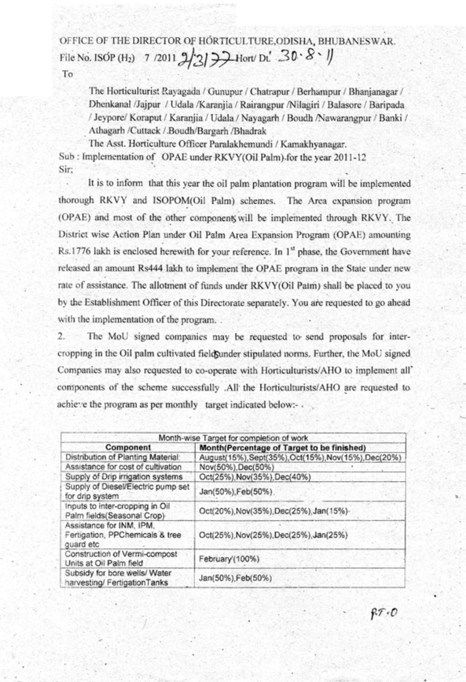OFFICE OF THE DIRECTOR OF HORTICULTURE, ODISHA, BHUBANESWAR. File No. ISOP (H<sub>2</sub>) 7 /2011  $2/3$   $3/3$   $7/2$  Hort/ Dt.  $30.8$   $\sqrt{ }$ To

The Horticulturist Rayagada / Gunupur / Chatrapur / Berhampur / Bhanjanagar / Dhenkanal /Jajpur / Udala /Karanjia / Rairangpur /Nilagiri / Balasore / Baripada / Jeypore/ Koraput / Karanjia / Udala / Nayagarh / Boudh / Nawarangpur / Banki / Athagarh /Cuttack / Boudh/Bargarh /Bhadrak

The Asst. Horticulture Officer Paralakhemundi / Kamakhyanagar. Sub: Implementation of OPAE under RKVY(Oil Palm) for the year 2011-12 Sir:

It is to inform that this year the oil palm plantation program will be implemented thorough RKVY and ISOPOM(Oil Palm) schemes. The Area expansion program (OPAE) and most of the other component will be implemented through RKVY. The District wise Action Plan under Oil Palm Area Expansion Program (OPAE) amounting Rs.1776 lakh is enclosed herewith for your reference. In 1<sup>st</sup> phase, the Government have released an amount Rs444 lakh to implement the OPAE program in the State under new rate of assistance. The allotment of funds under RKVY(Oil Palm) shall be placed to you by the Establishment Officer of this Directorate separately. You are requested to go ahead with the implementation of the program...

 $2.$ The MoU signed companies may be requested to send proposals for intercropping in the Oil palm cultivated field ander stipulated norms. Further, the MoU signed Companies may also requested to co-operate with Horticulturists/AHO to implement all' components of the scheme successfully .All the Horticulturists/AHO are requested to achieve the program as per monthly target indicated below:- .

|                                                                          | Month-wise Target for completion of work             |
|--------------------------------------------------------------------------|------------------------------------------------------|
| Component                                                                | Month(Percentage of Target to be finished)           |
| Distribution of Planting Material:                                       | August(15%), Sept(35%), Oct(15%), Nov(15%), Dec(20%) |
| Assistance for cost of cultivation                                       | Nov(50%), Dec(50%)                                   |
| Supply of Drip irrigation systems                                        | Oct(25%), Nov(35%), Dec(40%)                         |
| Supply of Diesel/Electric pump set<br>for drip system                    | Jan(50%), Feb(50%).                                  |
| Inputs to inter-cropping in Oil<br>Palm fields(Seasonal Crop)            | Oct(20%), Nov(35%), Dec(25%), Jan(15%)-              |
| Assistance for INM, IPM,<br>Fertigation, PPChemicals & tree<br>guard etc | Oct(25%), Nov(25%), Dec(25%), Jan(25%)               |
| Construction of Vermi-compost<br>Units at Oil Palm field                 | February'(100%).                                     |
| Subsidy for bore wells/ Water<br>harvesting/ FertigationTanks            | Jan(50%), Feb(50%)                                   |

 $87 - 0$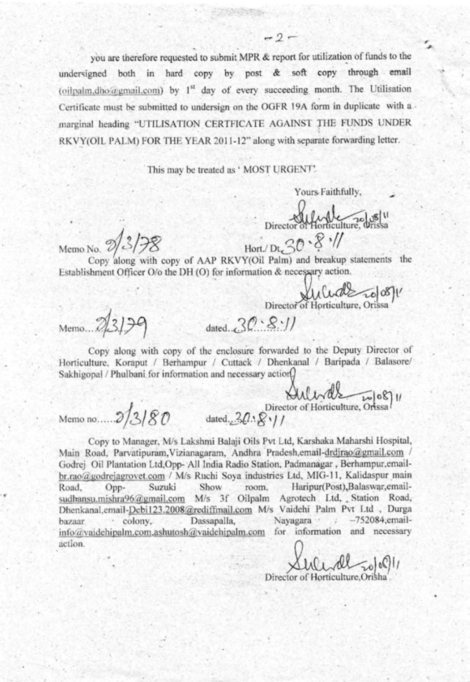you are therefore requested to submit MPR & report for utilization of funds to the hard copy by post & soft copy through email undersigned in both (oilpalm.dho@gmail.com) by 1st day of every succeeding month. The Utilisation Certificate must be submitted to undersign on the OGFR 19A form in duplicate with a marginal heading "UTILISATION CERTFICATE AGAINST THE FUNDS UNDER RKVY(OIL PALM) FOR THE YEAR 2011-12" along with separate forwarding letter.

 $-2-$ 

This may be treated as ' MOST URGENT'.

Yours Faithfully,

Director of Horticulture 70/08/11 Hort/Dt  $30 - 8$   $11$ 

Memo No. 9/3/78

Copy along with copy of AAP RKVY(Oil Palm) and breakup statements the Establishment Officer O/o the DH (O) for information & necessary action.

Director of Horticulture, Orissa

Memo. 23129

dated  $30.8$ . //

Copy along with copy of the enclosure forwarded to the Deputy Director of Horticulture, Koraput / Berhampur / Cuttack / Dhenkanal / Baripada / Balasore/ Sakhigopal / Phulbani for information and necessary action

Memono..... 3/3/80 dated. 30.81/

Copy to Manager, M/s Lakshmi Balaji Oils Pvt Ltd, Karshaka Maharshi Hospital, Main Road, Parvatipuram, Vizianagaram, Andhra Pradesh, email-drdjrao@gmail.com / Godrej Oil Plantation Ltd, Opp- All India Radio Station, Padmanagar, Berhampur, emailbr.rao@godrejagrovet.com / M/s Ruchi Soya industries Ltd, MIG-11, Kalidaspur main Haripur(Post), Balaswar, email-Suzuki Show room. Road, Oppsudhansu.mishra96@gmail.com M/s 3f Oilpalm Agrotech Ltd, Station Road, Dhenkanal, email-Debi123.2008@rediffmail.com M/s Vaidehi Palm Pvt Ltd , Durga  $-752084$ ;emailcolony. Dassapalla, Navagara 57.5 bazaar info@vaidehipalm.com.ashutosh@vaidehipalm.com for information and necessary action.

Sulide Tolell

Director of Horticulture.Oris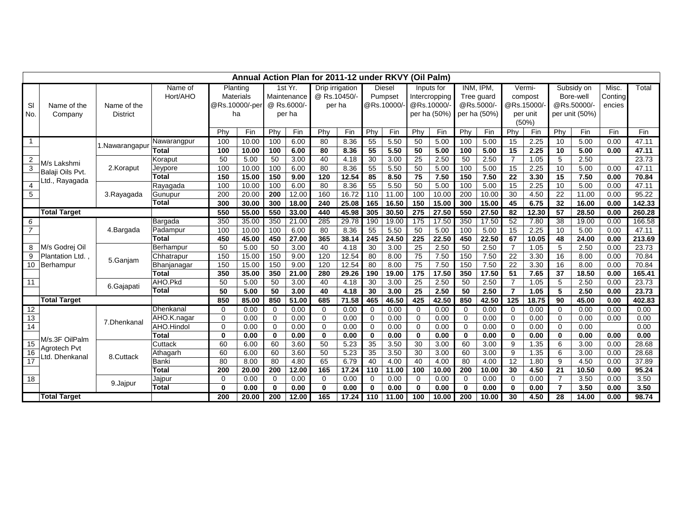|                 | Annual Action Plan for 2011-12 under RKVY (Oil Palm) |                 |                     |                      |       |              |            |                 |       |                           |       |                  |              |             |              |                  |             |                 |        |         |        |
|-----------------|------------------------------------------------------|-----------------|---------------------|----------------------|-------|--------------|------------|-----------------|-------|---------------------------|-------|------------------|--------------|-------------|--------------|------------------|-------------|-----------------|--------|---------|--------|
|                 |                                                      |                 | Planting<br>Name of |                      |       |              | 1st $Yr$ . | Drip irrigation |       | Diesel                    |       | Inputs for       |              | INM, IPM,   |              | Vermi-           |             | Subsidy on      |        | Misc.   | Total  |
|                 |                                                      |                 | Hort/AHO            | Materials            |       | Maintenance  |            | @ Rs.10450/-    |       | Pumpset                   |       | Intercropping    |              | Tree guard  |              | compost          |             | Bore-well       |        | Conting |        |
| SI              | Name of the                                          | Name of the     |                     | @Rs.10000/-per<br>ha |       | @ Rs.6000/-  |            | per ha          |       | @Rs.10000/-<br>@Rs.10000/ |       |                  | @Rs.5000/-   |             | @Rs.15000/   |                  | @Rs.50000/- |                 | encies |         |        |
| No.             | Company                                              | <b>District</b> |                     |                      |       |              | per ha     |                 |       |                           |       |                  | per ha (50%) |             | per ha (50%) | per unit         |             | per unit (50%)  |        |         |        |
|                 |                                                      |                 |                     |                      |       |              |            |                 |       |                           |       |                  |              |             |              | (50%)            |             |                 |        |         |        |
|                 |                                                      |                 |                     | Phy                  | Fin   | Phy          | Fin        | Phy             | Fin   | Phy                       | Fin   | Phy              | Fin          | Phy         | Fin          | Phy              | Fin         | Phy             | Fin    | Fin     | Fin    |
| $\overline{1}$  |                                                      | 1.Nawarangapur  | Nawarangpur         | 100                  | 10.00 | 100          | 6.00       | 80              | 8.36  | 55                        | 5.50  | 50               | 5.00         | 100         | 5.00         | 15               | 2.25        | 10              | 5.00   | 0.00    | 47.11  |
|                 |                                                      |                 | <b>Total</b>        | 100                  | 10.00 | 100          | 6.00       | 80              | 8.36  | 55                        | 5.50  | 50               | 5.00         | 100         | 5.00         | 15               | 2.25        | 10              | 5.00   | 0.00    | 47.11  |
| $\overline{2}$  | M/s Lakshmi<br>Balaji Oils Pvt.<br>Ltd., Rayagada    |                 | Koraput             | 50                   | 5.00  | 50           | 3.00       | 40              | 4.18  | 30                        | 3.00  | 25               | 2.50         | 50          | 2.50         | $\overline{7}$   | 1.05        | 5               | 2.50   |         | 23.73  |
| 3               |                                                      | 2.Koraput       | Jeypore             | 100                  | 10.00 | 100          | 6.00       | 80              | 8.36  | $\overline{55}$           | 5.50  | 50               | 5.00         | 100         | 5.00         | 15               | 2.25        | 10              | 5.00   | 0.00    | 47.11  |
|                 |                                                      |                 | <b>Total</b>        | 150                  | 15.00 | 150          | 9.00       | 120             | 12.54 | 85                        | 8.50  | 75               | 7.50         | 150         | 7.50         | 22               | 3.30        | 15              | 7.50   | 0.00    | 70.84  |
| 4               |                                                      |                 | Rayagada            | 100                  | 10.00 | 100          | 6.00       | 80              | 8.36  | 55                        | 5.50  | 50               | 5.00         | 100         | 5.00         | 15               | 2.25        | 10              | 5.00   | 0.00    | 47.11  |
| 5               |                                                      | 3.Rayagada      | Gunupur             | 200                  | 20.00 | 200          | 12.00      | 160             | 16.72 | 110                       | 11.00 | 100              | 10.00        | 200         | 10.00        | 30               | 4.50        | 22              | 11.00  | 0.00    | 95.22  |
|                 |                                                      |                 | <b>Total</b>        | 300                  | 30.00 | 300          | 18.00      | 240             | 25.08 | 165                       | 16.50 | 150              | 15.00        | 300         | 15.00        | 45               | 6.75        | 32              | 16.00  | 0.00    | 142.33 |
|                 | <b>Total Target</b>                                  |                 |                     | 550                  | 55.00 | 550          | 33.00      | 440             | 45.98 | 305                       | 30.50 | 275              | 27.50        | 550         | 27.50        | 82               | 12.30       | 57              | 28.50  | 0.00    | 260.28 |
| 6               |                                                      | 4.Bargada       | Bargada             | 350                  | 35.00 | 350          | 21.00      | 285             | 29.78 | 190                       | 19.00 | 175              | 17.50        | 350         | 17.50        | 52               | 7.80        | 38              | 19.00  | 0.00    | 166.58 |
| $\overline{7}$  |                                                      |                 | Padampur            | 100                  | 10.00 | 100          | 6.00       | 80              | 8.36  | 55                        | 5.50  | 50               | 5.00         | 100         | 5.00         | 15               | 2.25        | 10              | 5.00   | 0.00    | 47.11  |
|                 |                                                      |                 | <b>Total</b>        | 450                  | 45.00 | 450          | 27.00      | 365             | 38.14 | 245                       | 24.50 | 225              | 22.50        | 450         | 22.50        | 67               | 10.05       | 48              | 24.00  | 0.00    | 213.69 |
| 8               | M/s Godrej Oil                                       |                 | Berhampur           | 50                   | 5.00  | 50           | 3.00       | 40              | 4.18  | 30                        | 3.00  | 25               | 2.50         | 50          | 2.50         | $\overline{7}$   | 1.05        | 5               | 2.50   | 0.00    | 23.73  |
| 9               | Plantation Ltd.                                      | 5.Ganjam        | Chhatrapur          | 150                  | 15.00 | 150          | 9.00       | 120             | 12.54 | 80                        | 8.00  | 75               | 7.50         | 150         | 7.50         | 22               | 3.30        | 16              | 8.00   | 0.00    | 70.84  |
|                 | 10 Berhampur                                         |                 | Bhanjanagar         | 150                  | 15.00 | 150          | 9.00       | 120             | 12.54 | 80                        | 8.00  | 75               | 7.50         | 150         | 7.50         | 22               | 3.30        | 16              | 8.00   | 0.00    | 70.84  |
|                 |                                                      |                 | <b>Total</b>        | 350                  | 35.00 | 350          | 21.00      | 280             | 29.26 | 190                       | 19.00 | $\overline{175}$ | 17.50        | 350         | 17.50        | 51               | 7.65        | 37              | 18.50  | 0.00    | 165.41 |
| 11              |                                                      | 6.Gajapati      | AHO.Pkd             | 50                   | 5.00  | 50           | 3.00       | 40              | 4.18  | 30                        | 3.00  | 25               | 2.50         | 50          | 2.50         | $\overline{7}$   | 1.05        | 5               | 2.50   | 0.00    | 23.73  |
|                 |                                                      |                 | <b>Total</b>        | 50                   | 5.00  | 50           | 3.00       | 40              | 4.18  | 30                        | 3.00  | 25               | 2.50         | 50          | 2.50         | $\overline{7}$   | 1.05        | 5               | 2.50   | 0.00    | 23.73  |
|                 | <b>Total Target</b>                                  |                 |                     | 850                  | 85.00 | 850          | 51.00      | 685             | 71.58 | 465                       | 46.50 | 425              | 42.50        | 850         | 42.50        | $\overline{125}$ | 18.75       | $\overline{90}$ | 45.00  | 0.00    | 402.83 |
| 12              |                                                      |                 | Dhenkanal           | $\Omega$             | 0.00  | $\Omega$     | 0.00       | $\Omega$        | 0.00  | 0                         | 0.00  | $\mathbf 0$      | 0.00         | $\mathbf 0$ | 0.00         | $\Omega$         | 0.00        | $\Omega$        | 0.00   | 0.00    | 0.00   |
| 13              |                                                      | 7.Dhenkanal     | AHO.K.nagar         | $\Omega$             | 0.00  | $\Omega$     | 0.00       | $\Omega$        | 0.00  | $\Omega$                  | 0.00  | $\mathbf 0$      | 0.00         | $\mathbf 0$ | 0.00         | $\Omega$         | 0.00        | $\Omega$        | 0.00   | 0.00    | 0.00   |
| 14              |                                                      |                 | AHO.Hindol          | $\Omega$             | 0.00  | $\Omega$     | 0.00       | $\Omega$        | 0.00  | $\Omega$                  | 0.00  | $\mathbf 0$      | 0.00         | $\mathbf 0$ | 0.00         | $\Omega$         | 0.00        | $\Omega$        | 0.00   |         | 0.00   |
|                 | M/s.3F OilPalm                                       |                 | <b>Total</b>        | $\mathbf{0}$         | 0.00  | $\mathbf{0}$ | 0.00       | $\mathbf{0}$    | 0.00  | $\mathbf{0}$              | 0.00  | $\mathbf 0$      | 0.00         | $\mathbf 0$ | 0.00         | $\bf{0}$         | 0.00        | $\mathbf{0}$    | 0.00   | 0.00    | 0.00   |
| 15              | <b>Agrotech Pvt</b>                                  |                 | Cuttack             | 60                   | 6.00  | 60           | 3.60       | 50              | 5.23  | 35                        | 3.50  | 30               | 3.00         | 60          | 3.00         | 9                | 1.35        | 6               | 3.00   | 0.00    | 28.68  |
| 16              | Ltd. Dhenkanal                                       | 8.Cuttack       | Athagarh            | 60                   | 6.00  | 60           | 3.60       | 50              | 5.23  | 35                        | 3.50  | 30               | 3.00         | 60          | 3.00         | 9                | 1.35        | 6               | 3.00   | 0.00    | 28.68  |
| $\overline{17}$ |                                                      |                 | Banki               | 80                   | 8.00  | 80           | 4.80       | 65              | 6.79  | 40                        | 4.00  | 40               | 4.00         | 80          | 4.00         | 12               | 1.80        | 9               | 4.50   | 0.00    | 37.89  |
|                 |                                                      |                 | <b>Total</b>        | 200                  | 20.00 | 200          | 12.00      | 165             | 17.24 | 110                       | 11.00 | 100              | 10.00        | 200         | 10.00        | 30               | 4.50        | 21              | 10.50  | 0.00    | 95.24  |
| 18              |                                                      | 9.Jajpur        | Jajpur              | $\Omega$             | 0.00  | $\Omega$     | 0.00       | $\Omega$        | 0.00  | 0                         | 0.00  | $\mathbf 0$      | 0.00         | $\mathbf 0$ | 0.00         | $\mathbf 0$      | 0.00        | $\overline{7}$  | 3.50   | 0.00    | 3.50   |
|                 |                                                      |                 | <b>Total</b>        | $\bf{0}$             | 0.00  | $\Omega$     | 0.00       | $\bf{0}$        | 0.00  | 0                         | 0.00  | $\bf{0}$         | 0.00         | $\bf{0}$    | 0.00         | $\mathbf{0}$     | 0.00        | $\overline{7}$  | 3.50   | 0.00    | 3.50   |
|                 | <b>Total Target</b>                                  |                 |                     | 200                  | 20.00 | 200          | 12.00      | 165             | 17.24 | 110                       | 11.00 | 100              | 10.00        | 200         | 10.00        | 30               | 4.50        | 28              | 14.00  | 0.00    | 98.74  |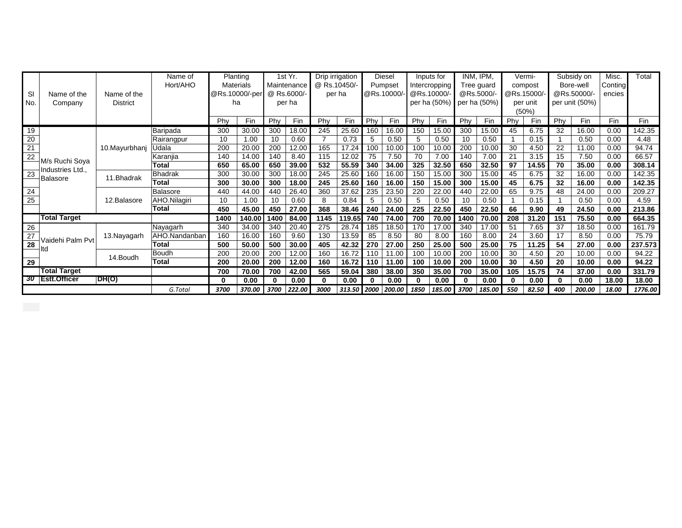|                     |                     |                                | Name of                      |       | Planting                                     |        | 1st Yr. |         | Drip irrigation<br>@ Rs.10450/- |       | Diesel<br>Pumpset  |              | Inputs for<br>Intercropping |              | IPM.<br>INM.<br>Tree guard |          | Vermi-<br>compost |                | Subsidy on<br>Bore-well |        | Misc.   | Total |
|---------------------|---------------------|--------------------------------|------------------------------|-------|----------------------------------------------|--------|---------|---------|---------------------------------|-------|--------------------|--------------|-----------------------------|--------------|----------------------------|----------|-------------------|----------------|-------------------------|--------|---------|-------|
|                     | Name of the         |                                | Hort/AHO<br><b>Materials</b> |       | Maintenance<br>@Rs.10000/-per<br>@ Rs.6000/- |        |         | Conting |                                 |       |                    |              |                             |              |                            |          |                   |                |                         |        |         |       |
| SI                  |                     | Name of the<br><b>District</b> |                              |       |                                              |        |         |         | per ha                          |       | @Rs.10000/-        |              | @Rs.10000/                  |              | @Rs.5000/-                 |          | @Rs.15000/        |                | @Rs.50000/-             |        |         |       |
| No.                 | Company             |                                |                              |       | ha                                           | per ha |         |         |                                 |       |                    | per ha (50%) |                             | per ha (50%) |                            | per unit |                   | per unit (50%) |                         |        |         |       |
|                     |                     |                                |                              |       |                                              |        |         |         |                                 |       |                    |              |                             |              |                            |          | (50%)             |                |                         |        |         |       |
|                     |                     |                                |                              | Phy   | Fin                                          | Phy    | Fin     | Phy     | Fin                             | Phy   | Fin                | Phy          | Fin                         | Phy          | Fin                        | Phy      | Fin               | Phy            | Fin                     | Fin    | Fin     |       |
| 19                  |                     |                                | Baripada                     | 300   | 30.00                                        | 300    | 18.00   | 245     | 25.60                           | 160   | 16.00              | 150          | 15.00                       | 300          | 15.00                      | 45       | 6.75              | 32             | 16.00                   | 0.00   | 142.35  |       |
| $\frac{20}{21}$     |                     |                                | Rairangpur                   | 10    | 1.00                                         | 10     | 0.60    | 7       | 0.73                            | 5     | 0.50               | 5            | 0.50                        | 10           | 0.50                       |          | 0.15              |                | 0.50                    | 0.00   | 4.48    |       |
|                     |                     | 10.Mayurbhani                  | Udala                        | 200   | 20.00                                        | 200    | 12.00   | 165     | 17.24                           | 100   | 10.00              | 100          | 10.00                       | 200          | 10.00                      | 30       | 4.50              | 22             | 11.00                   | 0.00   | 94.74   |       |
|                     | M/s Ruchi Soya      |                                | Karanjia                     | 140   | 14.00                                        | 140    | 8.40    | 115     | 12.02                           | 75    | 7.50               | 70           | 7.00                        | 140          | 7.00                       | 21       | 3.15              | 15             | 7.50                    | 0.00   | 66.57   |       |
|                     | Industries Ltd.,    |                                | Total                        | 650   | 65.00                                        | 650    | 39.00   | 532     | 55.59                           | 340   | 34.00              | 325          | 32.50                       | 650          | 32.50                      | 97       | 14.55             | 70             | 35.00                   | 0.00   | 308.14  |       |
| 23                  | Balasore            | 11.Bhadrak                     | Bhadrak                      | 300   | 30.00                                        | 300    | 18.00   | 245     | 25.60                           | 160   | 16.00              | 150          | 15.00                       | 300          | 15.00                      | 45       | 6.75              | 32             | 16.00                   | 0.00   | 142.35  |       |
|                     |                     |                                | Total                        | 300   | 30.00                                        | 300    | 18.00   | 245     | 25.60                           | 160   | 16.00              | 150          | 15.00                       | 300          | 15.00                      | 45       | 6.75              | 32             | 16.00                   | 0.00   | 142.35  |       |
| $\overline{24}$     |                     | 12.Balasore                    | Balasore                     | 440   | 44.00                                        | 440    | 26.40   | 360     | 37.62                           | 235   | 23.50              | 220          | 22.00                       | 440          | 22.00                      | 65       | 9.75              | 48             | 24.00                   | 0.00   | 209.27  |       |
| $\overline{25}$     |                     |                                | AHO.Nilagiri                 | 10    | 1.00                                         | 10     | 0.60    | 8       | 0.84                            | 5     | 0.50               | 5            | 0.50                        | 10           | 0.50                       |          | 0.15              |                | 0.50                    | 0.00   | 4.59    |       |
|                     |                     |                                | Total                        | 450   | 45.00                                        | 450    | 27.00   | 368     | 38.46                           | 240   | 24.00              | 225          | 22.50                       | 450          | 22.50                      | 66       | 9.90              | 49             | 24.50                   | 0.00   | 213.86  |       |
|                     | <b>Total Target</b> |                                |                              | 1400  | 140.00                                       | 1400   | 84.00   | 1145    | 119.65 740                      |       | 74.00              | 700          | 70.00                       | 1400         | 70.00                      | 208      | 31.20             | 151            | 75.50                   | 0.00   | 664.35  |       |
| 26                  |                     |                                | Nayagarh                     | 340   | 34.00                                        | 340    | 20.40   | 275     | 28.74                           | 185   | 18.50              | 170          | 17.00                       | 340          | 17.00                      | 51       | 7.65              | 37             | 18.50                   | 0.00   | 161.79  |       |
|                     | Vaidehi Palm Pvt    | 13. Nayagarh                   | AHO.Nandanban                | 160   | 16.00                                        | 160    | 9.60    | 130     | 13.59                           | 85    | 8.50               | 80           | 8.00                        | 160          | 8.00                       | 24       | 3.60              | 17             | 8.50                    | 0.00   | 75.79   |       |
| $\overline{28}$     | ltd                 |                                | Total                        | 500   | 50.00                                        | 500    | 30.00   | 405     | 42.32                           | 270   | 27.00              | 250          | 25.00                       | 500          | 25.00                      | 75       | 11.25             | 54             | 27.00                   | 0.00   | 237.573 |       |
|                     |                     | 14. Boudh                      | <b>Boudh</b>                 | 200   | 20.00                                        | 200    | 12.00   | 160     | 16.72                           | 110   | 11.00              | 100          | 10.00                       | 200          | 10.00                      | 30       | 4.50              | 20             | 10.00                   | 0.00   | 94.22   |       |
| 29                  |                     |                                | Total                        | 200   | 20.00                                        | 200    | 12.00   | 160     | 16.72                           | 110   | 11.00              | 100          | 10.00                       | 200          | 10.00                      | 30       | 4.50              | 20             | 10.00                   | 0.00   | 94.22   |       |
| <b>Total Target</b> |                     |                                | 700                          | 70.00 | 700                                          | 42.00  | 565     | 59.04   | 380                             | 38.00 | 350                | 35.00        | 700                         | 35.00        | 105                        | 15.75    | 74                | 37.00          | 0.00                    | 331.79 |         |       |
|                     | 30 Estt.Officer     | DH(O)                          |                              | 0     | 0.00                                         | 0      | 0.00    | 0       | 0.00                            |       | 0.00               | 0            | 0.00                        |              | 0.00                       | $\Omega$ | 0.00              | 0              | 0.00                    | 18.00  | 18.00   |       |
|                     |                     |                                | G.Total                      | 3700  | 370.00                                       | 3700   | 222.00  | 3000    |                                 |       | 313.50 2000 200.00 | 1850         | 185.00                      | 3700         | 185.00                     | 550      | 82.50             | 400            | 200.00                  | 18.00  | 1776.00 |       |